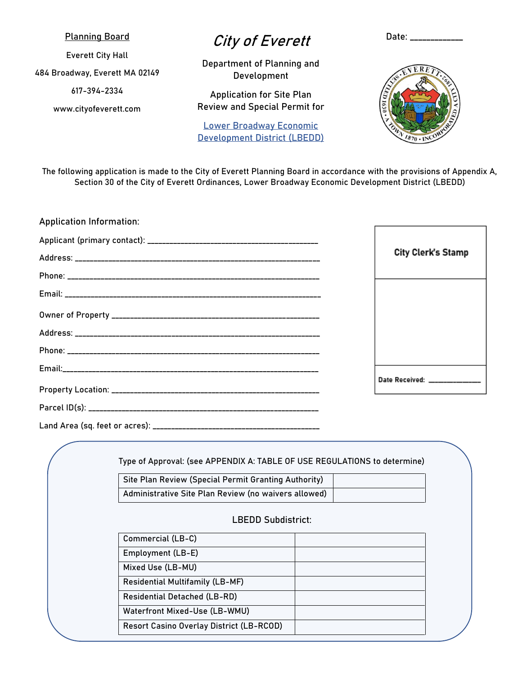### Planning Board

Everett City Hall

484 Broadway, Everett MA 02149

617-394-2334

www.cityofeverett.com

# City of Everett

Department of Planning and Development

Application for Site Plan Review and Special Permit for

Lower Broadway Economic Development District (LBEDD)



Date: \_\_\_\_\_\_\_\_\_\_\_

The following application is made to the City of Everett Planning Board in accordance with the provisions of Appendix A, Section 30 of the City of Everett Ordinances, Lower Broadway Economic Development District (LBEDD)

| <b>Application Information:</b> |                            |
|---------------------------------|----------------------------|
|                                 |                            |
|                                 | City Clerk's Stamp         |
|                                 |                            |
|                                 |                            |
|                                 |                            |
|                                 |                            |
|                                 |                            |
|                                 |                            |
|                                 | Date Received: ___________ |
|                                 |                            |
|                                 |                            |

Type of Approval: (see APPENDIX A: TABLE OF USE REGULATIONS to determine)

| Site Plan Review (Special Permit Granting Authority) |  |
|------------------------------------------------------|--|
| Administrative Site Plan Review (no waivers allowed) |  |

### LBEDD Subdistrict:

| Commercial (LB-C)                        |  |
|------------------------------------------|--|
| Employment (LB-E)                        |  |
| Mixed Use (LB-MU)                        |  |
| <b>Residential Multifamily (LB-MF)</b>   |  |
| <b>Residential Detached (LB-RD)</b>      |  |
| Waterfront Mixed-Use (LB-WMU)            |  |
| Resort Casino Overlay District (LB-RCOD) |  |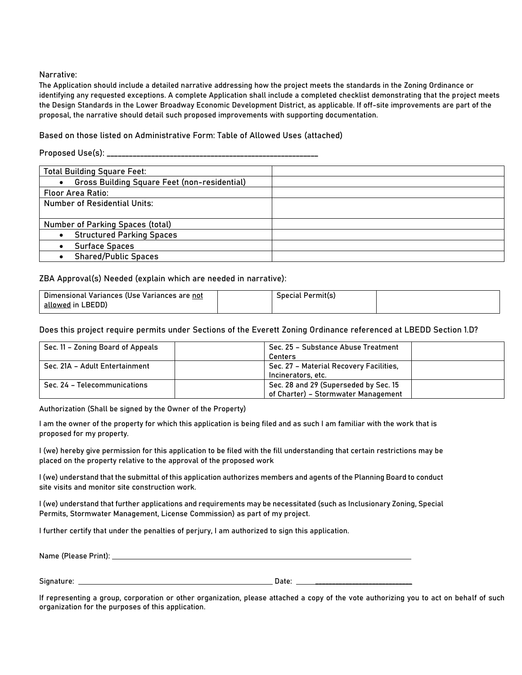#### Narrative:

The Application should include a detailed narrative addressing how the project meets the standards in the Zoning Ordinance or identifying any requested exceptions. A complete Application shall include a completed checklist demonstrating that the project meets the Design Standards in the Lower Broadway Economic Development District, as applicable. If off-site improvements are part of the proposal, the narrative should detail such proposed improvements with supporting documentation.

#### Based on those listed on Administrative Form: Table of Allowed Uses (attached)

Proposed Use(s): \_\_\_\_\_\_\_\_\_\_\_\_\_\_\_\_\_\_\_\_\_\_\_\_\_\_\_\_\_\_\_\_\_\_\_\_\_\_\_\_\_\_\_\_\_\_\_\_\_\_\_\_\_\_\_\_\_

| <b>Total Building Square Feet:</b>                               |  |
|------------------------------------------------------------------|--|
| <b>Gross Building Square Feet (non-residential)</b><br>$\bullet$ |  |
| <b>Floor Area Ratio:</b>                                         |  |
| <b>Number of Residential Units:</b>                              |  |
|                                                                  |  |
| <b>Number of Parking Spaces (total)</b>                          |  |
| <b>Structured Parking Spaces</b><br>$\bullet$                    |  |
| <b>Surface Spaces</b><br>$\bullet$                               |  |
| <b>Shared/Public Spaces</b>                                      |  |

#### ZBA Approval(s) Needed (explain which are needed in narrative):

| Dimensional Variances (Use Variances are not | Permit(s)<br>Special F |  |
|----------------------------------------------|------------------------|--|
| _BEDD`<br>-allowed in L                      |                        |  |

Does this project require permits under Sections of the Everett Zoning Ordinance referenced at LBEDD Section 1.D?

| Sec. 11 - Zoning Board of Appeals | Sec. 25 - Substance Abuse Treatment<br>Centers                               |
|-----------------------------------|------------------------------------------------------------------------------|
| Sec. 21A - Adult Entertainment    | Sec. 27 - Material Recovery Facilities,<br>Incinerators, etc.                |
| Sec. 24 - Telecommunications      | Sec. 28 and 29 (Superseded by Sec. 15<br>of Charter) - Stormwater Management |

Authorization (Shall be signed by the Owner of the Property)

I am the owner of the property for which this application is being filed and as such I am familiar with the work that is proposed for my property.

I (we) hereby give permission for this application to be filed with the fill understanding that certain restrictions may be placed on the property relative to the approval of the proposed work

I (we) understand that the submittal of this application authorizes members and agents of the Planning Board to conduct site visits and monitor site construction work.

I (we) understand that further applications and requirements may be necessitated (such as Inclusionary Zoning, Special Permits, Stormwater Management, License Commission) as part of my project.

I further certify that under the penalties of perjury, I am authorized to sign this application.

| Name (Please Print): |  |  |  |
|----------------------|--|--|--|
|                      |  |  |  |
|                      |  |  |  |

Signature: Date: \_\_\_\_\_\_\_\_\_\_\_\_\_\_\_\_\_\_\_\_\_\_\_\_\_\_\_\_\_

If representing a group, corporation or other organization, please attached a copy of the vote authorizing you to act on behalf of such organization for the purposes of this application.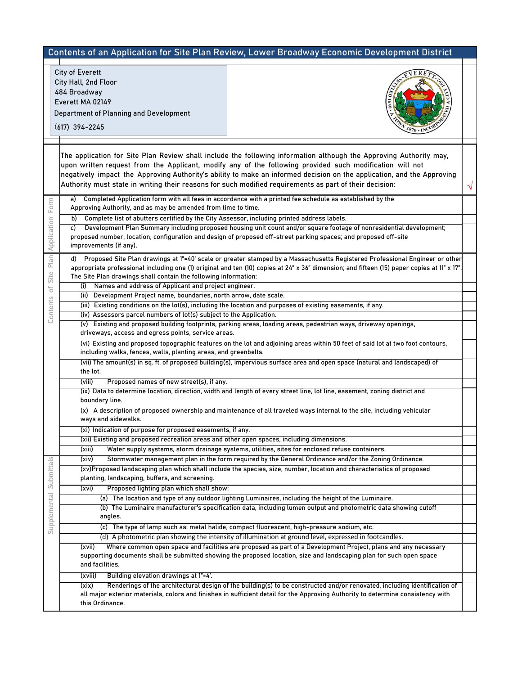|                         |                                                                                                                                                                                | <b>Contents of an Application for Site Plan Review, Lower Broadway Economic Development District</b>                                                                                                                                                                                                                                                                                                                                                                |  |
|-------------------------|--------------------------------------------------------------------------------------------------------------------------------------------------------------------------------|---------------------------------------------------------------------------------------------------------------------------------------------------------------------------------------------------------------------------------------------------------------------------------------------------------------------------------------------------------------------------------------------------------------------------------------------------------------------|--|
|                         | <b>City of Everett</b><br>City Hall, 2nd Floor<br>484 Broadway<br>Everett MA 02149<br>Department of Planning and Development<br>$(617)$ 394-2245                               |                                                                                                                                                                                                                                                                                                                                                                                                                                                                     |  |
|                         |                                                                                                                                                                                | The application for Site Plan Review shall include the following information although the Approving Authority may,<br>upon written request from the Applicant, modify any of the following provided such modification will not<br>negatively impact the Approving Authority's ability to make an informed decision on the application, and the Approving<br>Authority must state in writing their reasons for such modified requirements as part of their decision: |  |
| Form                    | a)<br>Approving Authority, and as may be amended from time to time.<br>Complete list of abutters certified by the City Assessor, including printed address labels.<br>b)<br>C) | Completed Application form with all fees in accordance with a printed fee schedule as established by the<br>Development Plan Summary including proposed housing unit count and/or square footage of nonresidential development;                                                                                                                                                                                                                                     |  |
| Application             | improvements (if any).<br>d)                                                                                                                                                   | proposed number, location, configuration and design of proposed off-street parking spaces; and proposed off-site<br>Proposed Site Plan drawings at 1"=40' scale or greater stamped by a Massachusetts Registered Professional Engineer or other                                                                                                                                                                                                                     |  |
| Plan<br>Site            | The Site Plan drawings shall contain the following information:<br>Names and address of Applicant and project engineer.<br>(i)                                                 | appropriate professional including one (1) original and ten (10) copies at 24" x 36" dimension; and fifteen (15) paper copies at 11" x 17".                                                                                                                                                                                                                                                                                                                         |  |
| $\overline{\mathrm{o}}$ | Development Project name, boundaries, north arrow, date scale.<br>(ii)                                                                                                         |                                                                                                                                                                                                                                                                                                                                                                                                                                                                     |  |
| Contents                |                                                                                                                                                                                | (iii) Existing conditions on the lot(s), including the location and purposes of existing easements, if any.                                                                                                                                                                                                                                                                                                                                                         |  |
|                         | (iv) Assessors parcel numbers of lot(s) subject to the Application.                                                                                                            |                                                                                                                                                                                                                                                                                                                                                                                                                                                                     |  |
|                         | (v)<br>driveways, access and egress points, service areas.                                                                                                                     | Existing and proposed building footprints, parking areas, loading areas, pedestrian ways, driveway openings,                                                                                                                                                                                                                                                                                                                                                        |  |
|                         | including walks, fences, walls, planting areas, and greenbelts.                                                                                                                | (vi) Existing and proposed topographic features on the lot and adjoining areas within 50 feet of said lot at two foot contours,                                                                                                                                                                                                                                                                                                                                     |  |
|                         | the lot.                                                                                                                                                                       | (vii) The amount(s) in sq. ft. of proposed building(s), impervious surface area and open space (natural and landscaped) of                                                                                                                                                                                                                                                                                                                                          |  |
|                         | (viii)<br>Proposed names of new street(s), if any.                                                                                                                             |                                                                                                                                                                                                                                                                                                                                                                                                                                                                     |  |
|                         | boundary line.                                                                                                                                                                 | (ix) Data to determine location, direction, width and length of every street line, lot line, easement, zoning district and                                                                                                                                                                                                                                                                                                                                          |  |
|                         | ways and sidewalks.                                                                                                                                                            | (x) A description of proposed ownership and maintenance of all traveled ways internal to the site, including vehicular                                                                                                                                                                                                                                                                                                                                              |  |
|                         | (xi) Indication of purpose for proposed easements, if any.                                                                                                                     |                                                                                                                                                                                                                                                                                                                                                                                                                                                                     |  |
|                         | (xii) Existing and proposed recreation areas and other open spaces, including dimensions.                                                                                      |                                                                                                                                                                                                                                                                                                                                                                                                                                                                     |  |
|                         | (xiii)                                                                                                                                                                         | Water supply systems, storm drainage systems, utilities, sites for enclosed refuse containers.                                                                                                                                                                                                                                                                                                                                                                      |  |
| Submittals              | (xiv)                                                                                                                                                                          | Stormwater management plan in the form required by the General Ordinance and/or the Zoning Ordinance.                                                                                                                                                                                                                                                                                                                                                               |  |
|                         | planting, landscaping, buffers, and screening.                                                                                                                                 | (xv)Proposed landscaping plan which shall include the species, size, number, location and characteristics of proposed                                                                                                                                                                                                                                                                                                                                               |  |
|                         | Proposed lighting plan which shall show:<br>(xvi)                                                                                                                              |                                                                                                                                                                                                                                                                                                                                                                                                                                                                     |  |
|                         |                                                                                                                                                                                | (a) The location and type of any outdoor lighting Luminaires, including the height of the Luminaire.                                                                                                                                                                                                                                                                                                                                                                |  |
| Supplemental            | angles.                                                                                                                                                                        | (b) The Luminaire manufacturer's specification data, including lumen output and photometric data showing cutoff                                                                                                                                                                                                                                                                                                                                                     |  |
|                         |                                                                                                                                                                                | (c) The type of lamp such as: metal halide, compact fluorescent, high-pressure sodium, etc.                                                                                                                                                                                                                                                                                                                                                                         |  |
|                         |                                                                                                                                                                                | (d) A photometric plan showing the intensity of illumination at ground level, expressed in footcandles.                                                                                                                                                                                                                                                                                                                                                             |  |
|                         | (xvii)                                                                                                                                                                         | Where common open space and facilities are proposed as part of a Development Project, plans and any necessary                                                                                                                                                                                                                                                                                                                                                       |  |
|                         | and facilities.                                                                                                                                                                | supporting documents shall be submitted showing the proposed location, size and landscaping plan for such open space                                                                                                                                                                                                                                                                                                                                                |  |
|                         | Building elevation drawings at 1"=4'.<br>(xviii)                                                                                                                               |                                                                                                                                                                                                                                                                                                                                                                                                                                                                     |  |
|                         | (xix)<br>this Ordinance.                                                                                                                                                       | Renderings of the architectural design of the building(s) to be constructed and/or renovated, including identification of<br>all major exterior materials, colors and finishes in sufficient detail for the Approving Authority to determine consistency with                                                                                                                                                                                                       |  |
|                         |                                                                                                                                                                                |                                                                                                                                                                                                                                                                                                                                                                                                                                                                     |  |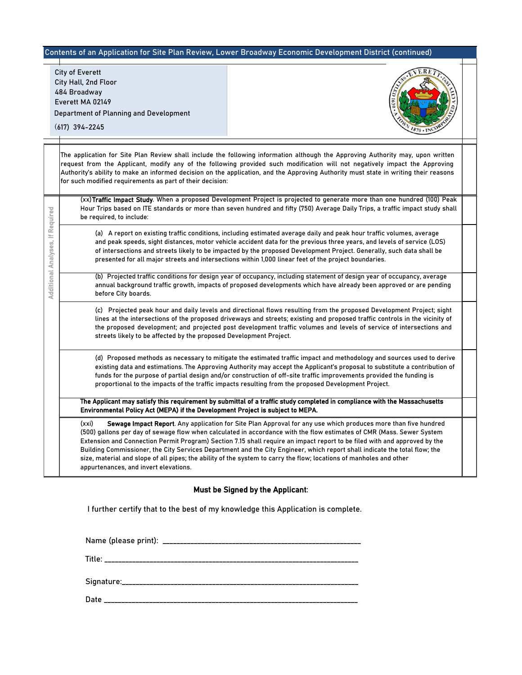### Contents of an Application for Site Plan Review, Lower Broadway Economic Development District (continued)

City of Everett<br>
City Hall, 2nd F<br>
484 Broadway<br>
Everett MA 021<br>
Department of<br>
(617) 394-2245<br>
The application<br>
The application<br>
The application<br>
For such modification<br>
for such modification<br>
for such modification<br>
for su City Hall, 2nd Floor 484 Broadway Everett MA 02149 Department of Planning and Development



(617) 394-2245

The application for Site Plan Review shall include the following information although the Approving Authority may, upon written request from the Applicant, modify any of the following provided such modification will not negatively impact the Approving Authority's ability to make an informed decision on the application, and the Approving Authority must state in writing their reasons for such modified requirements as part of their decision:

(xx) Traffic Impact Study. When a proposed Development Project is projected to generate more than one hundred (100) Peak Hour Trips based on ITE standards or more than seven hundred and fifty (750) Average Daily Trips, a traffic impact study shall be required, to include:

(a) A report on existing traffic conditions, including estimated average daily and peak hour traffic volumes, average and peak speeds, sight distances, motor vehicle accident data for the previous three years, and levels of service (LOS) of intersections and streets likely to be impacted by the proposed Development Project. Generally, such data shall be presented for all major streets and intersections within 1,000 linear feet of the project boundaries.

(b) Projected traffic conditions for design year of occupancy, including statement of design year of occupancy, average annual background traffic growth, impacts of proposed developments which have already been approved or are pending before City boards.

(c) Projected peak hour and daily levels and directional flows resulting from the proposed Development Project; sight lines at the intersections of the proposed driveways and streets; existing and proposed traffic controls in the vicinity of the proposed development; and projected post development traffic volumes and levels of service of intersections and streets likely to be affected by the proposed Development Project.

(d) Proposed methods as necessary to mitigate the estimated traffic impact and methodology and sources used to derive existing data and estimations. The Approving Authority may accept the Applicant's proposal to substitute a contribution of funds for the purpose of partial design and/or construction of off-site traffic improvements provided the funding is proportional to the impacts of the traffic impacts resulting from the proposed Development Project.

The Applicant may satisfy this requirement by submittal of a traffic study completed in compliance with the Massachusetts Environmental Policy Act (MEPA) if the Development Project is subject to MEPA.

(xxi) Sewage Impact Report. Any application for Site Plan Approval for any use which produces more than five hundred (500) gallons per day of sewage flow when calculated in accordance with the flow estimates of CMR (Mass. Sewer System Extension and Connection Permit Program) Section 7.15 shall require an impact report to be filed with and approved by the Building Commissioner, the City Services Department and the City Engineer, which report shall indicate the total flow; the size, material and slope of all pipes; the ability of the system to carry the flow; locations of manholes and other appurtenances, and invert elevations.

## Must be Signed by the Applicant:

I further certify that to the best of my knowledge this Application is complete.

Name (please print): \_\_\_\_\_\_\_\_\_\_\_\_\_\_\_\_\_\_\_\_\_\_\_\_\_\_\_\_\_\_\_\_\_\_\_\_\_\_\_\_\_\_\_\_\_\_\_\_\_\_\_\_\_\_\_\_\_

Title: \_\_\_\_\_\_\_\_\_\_\_\_\_\_\_\_\_\_\_\_\_\_\_\_\_\_\_\_\_\_\_\_\_\_\_\_\_\_\_\_\_\_\_\_\_\_\_\_\_\_\_\_\_\_\_\_\_\_\_\_\_\_\_\_\_\_\_\_\_\_\_\_\_

Signature:\_\_\_\_\_\_\_\_\_\_\_\_\_\_\_\_\_\_\_\_\_\_\_\_\_\_\_\_\_\_\_\_\_\_\_\_\_\_\_\_\_\_\_\_\_\_\_\_\_\_\_\_\_\_\_\_\_\_\_\_\_\_\_\_\_\_\_\_

Date \_\_\_\_\_\_\_\_\_\_\_\_\_\_\_\_\_\_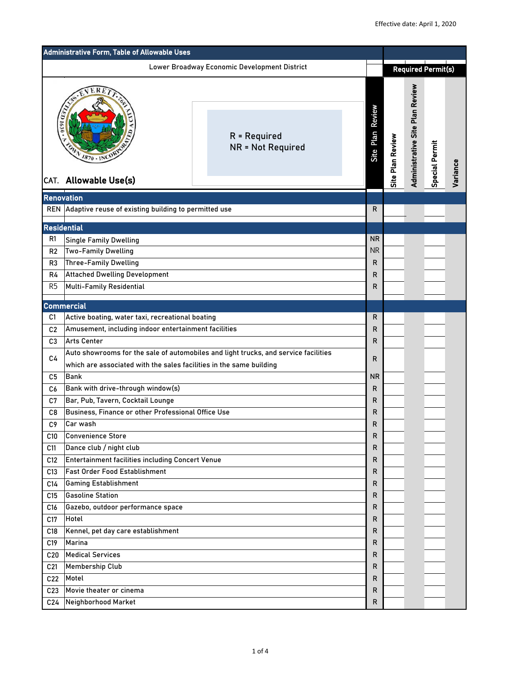| Administrative Form, Table of Allowable Uses                                                                                                                                                                                                               |                                                                                                                                                                                                                                                                                                                                                                                                                                                                                                                                                                                                                                                                                                           |                                                                                     |                                                                                                                    |                  |                                        |                       |          |
|------------------------------------------------------------------------------------------------------------------------------------------------------------------------------------------------------------------------------------------------------------|-----------------------------------------------------------------------------------------------------------------------------------------------------------------------------------------------------------------------------------------------------------------------------------------------------------------------------------------------------------------------------------------------------------------------------------------------------------------------------------------------------------------------------------------------------------------------------------------------------------------------------------------------------------------------------------------------------------|-------------------------------------------------------------------------------------|--------------------------------------------------------------------------------------------------------------------|------------------|----------------------------------------|-----------------------|----------|
|                                                                                                                                                                                                                                                            |                                                                                                                                                                                                                                                                                                                                                                                                                                                                                                                                                                                                                                                                                                           | Lower Broadway Economic Development District                                        |                                                                                                                    |                  | <b>Required Permit(s)</b>              |                       |          |
| $\frac{d}{d\Omega}$                                                                                                                                                                                                                                        | $V_{1870 \text{ } \cdot \text{INCO}}$<br>CAT. Allowable Use(s)                                                                                                                                                                                                                                                                                                                                                                                                                                                                                                                                                                                                                                            | $R = Required$<br><b>NR = Not Required</b>                                          | Review<br>Plan<br><b>Site</b>                                                                                      | Site Plan Review | <b>Administrative Site Plan Review</b> | <b>Special Permit</b> | Variance |
| Renovation<br><b>REN</b>                                                                                                                                                                                                                                   | Adaptive reuse of existing building to permitted use                                                                                                                                                                                                                                                                                                                                                                                                                                                                                                                                                                                                                                                      |                                                                                     | $\mathsf{R}$                                                                                                       |                  |                                        |                       |          |
| <b>Residential</b>                                                                                                                                                                                                                                         |                                                                                                                                                                                                                                                                                                                                                                                                                                                                                                                                                                                                                                                                                                           |                                                                                     |                                                                                                                    |                  |                                        |                       |          |
| R1<br>R <sub>2</sub><br>R <sub>3</sub><br>R4<br>R <sub>5</sub>                                                                                                                                                                                             | <b>Single Family Dwelling</b><br><b>Two-Family Dwelling</b><br><b>Three-Family Dwelling</b><br><b>Attached Dwelling Development</b><br><b>Multi-Family Residential</b>                                                                                                                                                                                                                                                                                                                                                                                                                                                                                                                                    |                                                                                     | <b>NR</b><br><b>NR</b><br>R<br>R<br>R                                                                              |                  |                                        |                       |          |
| C1                                                                                                                                                                                                                                                         | <b>Commercial</b><br>Active boating, water taxi, recreational boating                                                                                                                                                                                                                                                                                                                                                                                                                                                                                                                                                                                                                                     |                                                                                     | R                                                                                                                  |                  |                                        |                       |          |
| C <sub>2</sub><br>C <sub>3</sub><br>C <sub>4</sub><br>C <sub>5</sub><br>C6<br>C7<br>C <sub>8</sub><br>C <sub>9</sub><br>C10<br>C11<br>C12<br>C13<br>C14<br>C15<br>C <sub>16</sub><br>C17<br>C18<br>C19<br>C20<br>C <sub>21</sub><br>C22<br>C <sub>23</sub> | Amusement, including indoor entertainment facilities<br>Arts Center<br>which are associated with the sales facilities in the same building<br>Bank<br>Bank with drive-through window(s)<br>Bar, Pub, Tavern, Cocktail Lounge<br>Business, Finance or other Professional Office Use<br>Car wash<br><b>Convenience Store</b><br>Dance club / night club<br><b>Entertainment facilities including Concert Venue</b><br><b>Fast Order Food Establishment</b><br><b>Gaming Establishment</b><br><b>Gasoline Station</b><br>Gazebo, outdoor performance space<br>Hotel<br>Kennel, pet day care establishment<br>Marina<br><b>Medical Services</b><br><b>Membership Club</b><br>Motel<br>Movie theater or cinema | Auto showrooms for the sale of automobiles and light trucks, and service facilities | R<br>R<br>R<br><b>NR</b><br>R<br>R<br>R<br>R<br>R<br>R<br>R<br>R<br>R<br>R<br>R<br>R<br>R<br>R<br>R<br>R<br>R<br>R |                  |                                        |                       |          |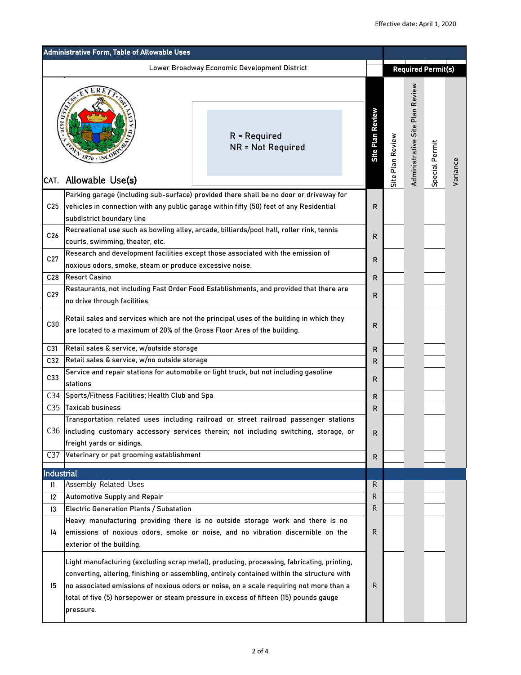| Administrative Form, Table of Allowable Uses |                                                                                                                                                                      |                                                                                                                                                                                                                                                                                                                                                                               |                         |                  |                                       |                           |          |
|----------------------------------------------|----------------------------------------------------------------------------------------------------------------------------------------------------------------------|-------------------------------------------------------------------------------------------------------------------------------------------------------------------------------------------------------------------------------------------------------------------------------------------------------------------------------------------------------------------------------|-------------------------|------------------|---------------------------------------|---------------------------|----------|
|                                              |                                                                                                                                                                      | <b>Lower Broadway Economic Development District</b>                                                                                                                                                                                                                                                                                                                           |                         |                  |                                       | <b>Required Permit(s)</b> |          |
| 1630                                         | È<br>$1870 \cdot 10^{6}$                                                                                                                                             | $R = Required$<br><b>NR = Not Required</b>                                                                                                                                                                                                                                                                                                                                    | <b>Site Plan Review</b> | Site Plan Review | Plan Review<br>Site<br>Administrative | Special Permit            | Variance |
| CAT.                                         | Allowable Use(s)                                                                                                                                                     |                                                                                                                                                                                                                                                                                                                                                                               |                         |                  |                                       |                           |          |
| C <sub>25</sub>                              | subdistrict boundary line                                                                                                                                            | Parking garage (including sub-surface) provided there shall be no door or driveway for<br>vehicles in connection with any public garage within fifty (50) feet of any Residential                                                                                                                                                                                             | R                       |                  |                                       |                           |          |
| C <sub>26</sub>                              | courts, swimming, theater, etc.                                                                                                                                      | Recreational use such as bowling alley, arcade, billiards/pool hall, roller rink, tennis                                                                                                                                                                                                                                                                                      | R                       |                  |                                       |                           |          |
| C27                                          | noxious odors, smoke, steam or produce excessive noise.                                                                                                              | Research and development facilities except those associated with the emission of                                                                                                                                                                                                                                                                                              | R                       |                  |                                       |                           |          |
| C28                                          | <b>Resort Casino</b>                                                                                                                                                 |                                                                                                                                                                                                                                                                                                                                                                               | R                       |                  |                                       |                           |          |
| C29                                          | Restaurants, not including Fast Order Food Establishments, and provided that there are<br>no drive through facilities.                                               |                                                                                                                                                                                                                                                                                                                                                                               |                         |                  |                                       |                           |          |
| C30                                          | Retail sales and services which are not the principal uses of the building in which they<br>are located to a maximum of 20% of the Gross Floor Area of the building. |                                                                                                                                                                                                                                                                                                                                                                               |                         |                  |                                       |                           |          |
| C31                                          | Retail sales & service, w/outside storage                                                                                                                            |                                                                                                                                                                                                                                                                                                                                                                               | R                       |                  |                                       |                           |          |
| C32                                          | Retail sales & service, w/no outside storage                                                                                                                         |                                                                                                                                                                                                                                                                                                                                                                               | R                       |                  |                                       |                           |          |
| C33                                          | stations                                                                                                                                                             | Service and repair stations for automobile or light truck, but not including gasoline                                                                                                                                                                                                                                                                                         | R                       |                  |                                       |                           |          |
| C <sub>34</sub>                              | Sports/Fitness Facilities; Health Club and Spa                                                                                                                       |                                                                                                                                                                                                                                                                                                                                                                               | R                       |                  |                                       |                           |          |
| C <sub>35</sub>                              | <b>Taxicab business</b>                                                                                                                                              |                                                                                                                                                                                                                                                                                                                                                                               | R                       |                  |                                       |                           |          |
| C36                                          | freight yards or sidings.                                                                                                                                            | Transportation related uses including railroad or street railroad passenger stations<br>including customary accessory services therein; not including switching, storage, or                                                                                                                                                                                                  | R.                      |                  |                                       |                           |          |
| C <sub>37</sub>                              | Veterinary or pet grooming establishment                                                                                                                             |                                                                                                                                                                                                                                                                                                                                                                               | R                       |                  |                                       |                           |          |
| <b>Industrial</b>                            |                                                                                                                                                                      |                                                                                                                                                                                                                                                                                                                                                                               |                         |                  |                                       |                           |          |
| $\mathsf{I}$                                 | Assembly Related Uses                                                                                                                                                |                                                                                                                                                                                                                                                                                                                                                                               | R                       |                  |                                       |                           |          |
| $ 2\rangle$                                  | <b>Automotive Supply and Repair</b>                                                                                                                                  |                                                                                                                                                                                                                                                                                                                                                                               | R                       |                  |                                       |                           |          |
|                                              | <b>Electric Generation Plants / Substation</b><br> 3                                                                                                                 |                                                                                                                                                                                                                                                                                                                                                                               | R                       |                  |                                       |                           |          |
| 4                                            | exterior of the building.                                                                                                                                            | Heavy manufacturing providing there is no outside storage work and there is no<br>emissions of noxious odors, smoke or noise, and no vibration discernible on the                                                                                                                                                                                                             | R                       |                  |                                       |                           |          |
| 15                                           | pressure.                                                                                                                                                            | Light manufacturing (excluding scrap metal), producing, processing, fabricating, printing,<br>converting, altering, finishing or assembling, entirely contained within the structure with<br>no associated emissions of noxious odors or noise, on a scale requiring not more than a<br>total of five (5) horsepower or steam pressure in excess of fifteen (15) pounds gauge | R                       |                  |                                       |                           |          |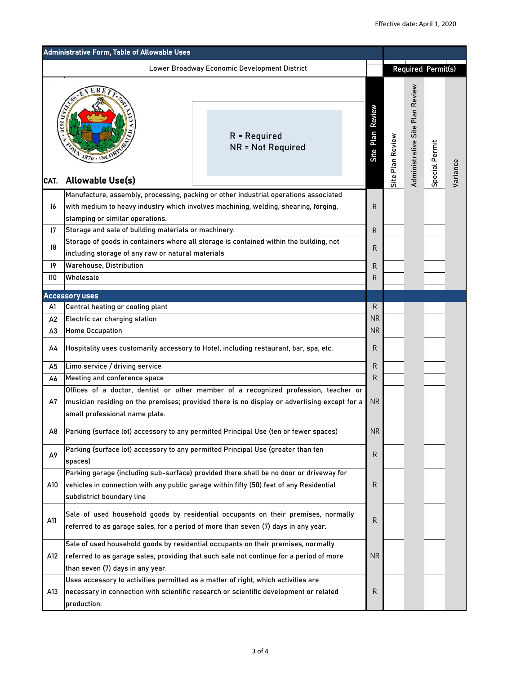| Administrative Form, Table of Allowable Uses |                                                                                                                                                                                                                                                                                                       |                                |                  |                                 |                    |          |
|----------------------------------------------|-------------------------------------------------------------------------------------------------------------------------------------------------------------------------------------------------------------------------------------------------------------------------------------------------------|--------------------------------|------------------|---------------------------------|--------------------|----------|
|                                              | Lower Broadway Economic Development District                                                                                                                                                                                                                                                          |                                |                  |                                 | Required Permit(s) |          |
| CAT.                                         | $R = Required$<br><b>NR = Not Required</b><br>$1870 \cdot 10^{C}$<br>Allowable Use(s)                                                                                                                                                                                                                 | Review<br><b>Plain</b><br>Site | Site Plan Review | Administrative Site Plan Review | Special Permit     | Variance |
| 16                                           | Manufacture, assembly, processing, packing or other industrial operations associated<br>with medium to heavy industry which involves machining, welding, shearing, forging,                                                                                                                           | R                              |                  |                                 |                    |          |
|                                              | stamping or similar operations.                                                                                                                                                                                                                                                                       |                                |                  |                                 |                    |          |
| 7                                            | Storage and sale of building materials or machinery.<br>Storage of goods in containers where all storage is contained within the building, not                                                                                                                                                        | R                              |                  |                                 |                    |          |
| 8                                            | including storage of any raw or natural materials                                                                                                                                                                                                                                                     | R                              |                  |                                 |                    |          |
| 9                                            | <b>Warehouse, Distribution</b>                                                                                                                                                                                                                                                                        | $\mathsf{R}$                   |                  |                                 |                    |          |
| 110                                          | Wholesale                                                                                                                                                                                                                                                                                             | R                              |                  |                                 |                    |          |
|                                              | <b>Accessory uses</b>                                                                                                                                                                                                                                                                                 |                                |                  |                                 |                    |          |
| A1                                           | Central heating or cooling plant                                                                                                                                                                                                                                                                      | $\mathsf{R}$                   |                  |                                 |                    |          |
| A2                                           | Electric car charging station                                                                                                                                                                                                                                                                         | <b>NR</b><br><b>NR</b>         |                  |                                 |                    |          |
| A3                                           | <b>Home Occupation</b>                                                                                                                                                                                                                                                                                |                                |                  |                                 |                    |          |
| A4                                           | Hospitality uses customarily accessory to Hotel, including restaurant, bar, spa, etc.                                                                                                                                                                                                                 | R                              |                  |                                 |                    |          |
| A <sub>5</sub>                               | Limo service / driving service                                                                                                                                                                                                                                                                        | R                              |                  |                                 |                    |          |
| A6                                           | Meeting and conference space                                                                                                                                                                                                                                                                          | R                              |                  |                                 |                    |          |
| A7                                           | Offices of a doctor, dentist or other member of a recognized profession, teacher or<br>musician residing on the premises; provided there is no display or advertising except for a<br>small professional name plate.                                                                                  | <b>NR</b>                      |                  |                                 |                    |          |
| A8                                           | Parking (surface lot) accessory to any permitted Principal Use (ten or fewer spaces)                                                                                                                                                                                                                  | <b>NR</b>                      |                  |                                 |                    |          |
| A9                                           | Parking (surface lot) accessory to any permitted Principal Use (greater than ten<br>spaces)                                                                                                                                                                                                           | R                              |                  |                                 |                    |          |
| A10                                          | Parking garage (including sub-surface) provided there shall be no door or driveway for<br>vehicles in connection with any public garage within fifty (50) feet of any Residential<br>subdistrict boundary line                                                                                        | R                              |                  |                                 |                    |          |
| A11                                          | Sale of used household goods by residential occupants on their premises, normally<br>referred to as garage sales, for a period of more than seven (7) days in any year.                                                                                                                               | R                              |                  |                                 |                    |          |
| A12                                          | Sale of used household goods by residential occupants on their premises, normally<br>referred to as garage sales, providing that such sale not continue for a period of more<br>than seven (7) days in any year.<br>Uses accessory to activities permitted as a matter of right, which activities are | <b>NR</b>                      |                  |                                 |                    |          |
| A13                                          | necessary in connection with scientific research or scientific development or related<br>production.                                                                                                                                                                                                  | R                              |                  |                                 |                    |          |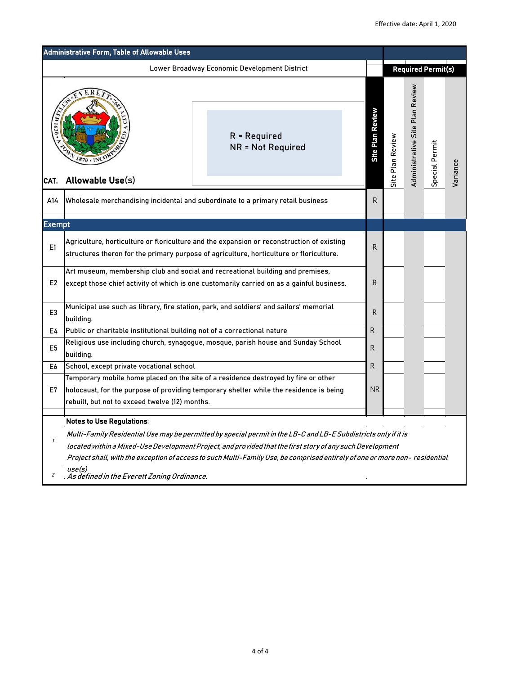|                                                                         | <b>Administrative Form, Table of Allowable Uses</b>                                                                                                                                                                                         |                            |                  |                                 |                           |          |
|-------------------------------------------------------------------------|---------------------------------------------------------------------------------------------------------------------------------------------------------------------------------------------------------------------------------------------|----------------------------|------------------|---------------------------------|---------------------------|----------|
|                                                                         | Lower Broadway Economic Development District                                                                                                                                                                                                |                            |                  |                                 | <b>Required Permit(s)</b> |          |
| 201630<br>$R = Required$<br><b>NR = Not Required</b><br>$1870 \cdot 1N$ |                                                                                                                                                                                                                                             | Plan Review<br><b>Site</b> | Site Plan Review | Administrative Site Plan Review | Special Permit            | Variance |
| A14                                                                     | Allowable Use(s)<br>CAT.<br>Wholesale merchandising incidental and subordinate to a primary retail business                                                                                                                                 |                            |                  |                                 |                           |          |
| <b>Exempt</b>                                                           |                                                                                                                                                                                                                                             |                            |                  |                                 |                           |          |
| E1                                                                      | Agriculture, horticulture or floriculture and the expansion or reconstruction of existing<br>structures theron for the primary purpose of agriculture, horticulture or floriculture.                                                        |                            |                  |                                 |                           |          |
| E <sub>2</sub>                                                          | Art museum, membership club and social and recreational building and premises,<br>except those chief activity of which is one customarily carried on as a gainful business.                                                                 |                            |                  |                                 |                           |          |
| E <sub>3</sub>                                                          | Municipal use such as library, fire station, park, and soldiers' and sailors' memorial<br>building.                                                                                                                                         | R                          |                  |                                 |                           |          |
| E4                                                                      | Public or charitable institutional building not of a correctional nature                                                                                                                                                                    | R                          |                  |                                 |                           |          |
| E <sub>5</sub>                                                          | Religious use including church, synagogue, mosque, parish house and Sunday School<br>building.                                                                                                                                              | R                          |                  |                                 |                           |          |
| E <sub>6</sub>                                                          | School, except private vocational school                                                                                                                                                                                                    | R                          |                  |                                 |                           |          |
| E7                                                                      | Temporary mobile home placed on the site of a residence destroyed by fire or other<br><b>NR</b><br>holocaust, for the purpose of providing temporary shelter while the residence is being<br>rebuilt, but not to exceed twelve (12) months. |                            |                  |                                 |                           |          |
|                                                                         | <b>Notes to Use Regulations:</b>                                                                                                                                                                                                            |                            |                  |                                 |                           |          |
|                                                                         | Multi-Family Residential Use may be permitted by special permit in the LB-C and LB-E Subdistricts only if it is                                                                                                                             |                            |                  |                                 |                           |          |
|                                                                         | located within a Mixed-Use Development Project, and provided that the first story of any such Development                                                                                                                                   |                            |                  |                                 |                           |          |
| 2                                                                       | Project shall, with the exception of access to such Multi-Family Use, be comprised entirely of one or more non-residential<br>use(s)<br>As defined in the Everett Zoning Ordinance.                                                         |                            |                  |                                 |                           |          |